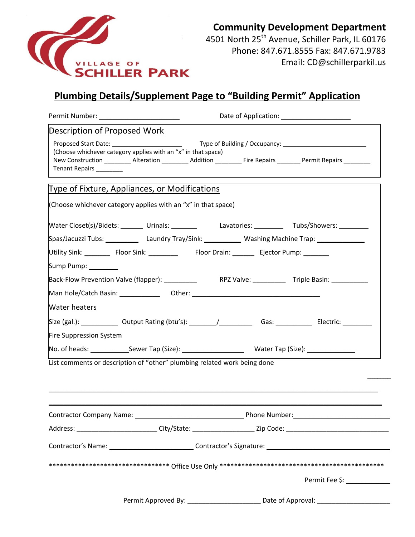

## **Community Development Department**

4501 North 25<sup>th</sup> Avenue, Schiller Park, IL 60176 Phone: 847.671.8555 Fax: 847.671.9783 Email: CD@schillerparkil.us

## **Plumbing Details/Supplement Page to "Building Permit" Application**

| Permit Number: _________________________             | Date of Application: _______________________                                                                   |               |                                                                                                                      |
|------------------------------------------------------|----------------------------------------------------------------------------------------------------------------|---------------|----------------------------------------------------------------------------------------------------------------------|
| Description of Proposed Work                         |                                                                                                                |               |                                                                                                                      |
| Tenant Repairs _________                             | (Choose whichever category applies with an "x" in that space)                                                  |               | New Construction __________ Alteration __________ Addition __________ Fire Repairs _________ Permit Repairs ________ |
|                                                      | <b>Type of Fixture, Appliances, or Modifications</b>                                                           |               |                                                                                                                      |
|                                                      | (Choose whichever category applies with an "x" in that space)                                                  |               |                                                                                                                      |
|                                                      |                                                                                                                |               | Water Closet(s)/Bidets: _______ Urinals: ________ Lavatories: ________ Tubs/Showers: ________                        |
|                                                      | Spas/Jacuzzi Tubs: Laundry Tray/Sink: Washing Machine Trap: Laundrey Laundry Tray/Sink: Laundrey Machine Trap: |               |                                                                                                                      |
| Utility Sink: Floor Sink: Floor Drain: Ejector Pump: |                                                                                                                |               |                                                                                                                      |
| Sump Pump: _________                                 |                                                                                                                |               |                                                                                                                      |
|                                                      |                                                                                                                |               |                                                                                                                      |
|                                                      | Man Hole/Catch Basin: __________________Other: _________________________________                               |               |                                                                                                                      |
| <b>Water heaters</b>                                 |                                                                                                                |               |                                                                                                                      |
|                                                      |                                                                                                                |               |                                                                                                                      |
| Fire Suppression System                              |                                                                                                                |               |                                                                                                                      |
|                                                      |                                                                                                                |               |                                                                                                                      |
|                                                      | List comments or description of "other" plumbing related work being done                                       |               |                                                                                                                      |
|                                                      |                                                                                                                |               |                                                                                                                      |
|                                                      |                                                                                                                |               |                                                                                                                      |
| Contractor Company Name: _                           |                                                                                                                | Phone Number: |                                                                                                                      |
|                                                      |                                                                                                                |               | Address: __________________________City/State: _______________________Zip Code: ______________________________       |
|                                                      |                                                                                                                |               |                                                                                                                      |
|                                                      |                                                                                                                |               |                                                                                                                      |
|                                                      |                                                                                                                |               |                                                                                                                      |
|                                                      |                                                                                                                |               | Permit Fee \$:                                                                                                       |
|                                                      |                                                                                                                |               |                                                                                                                      |
|                                                      |                                                                                                                |               |                                                                                                                      |